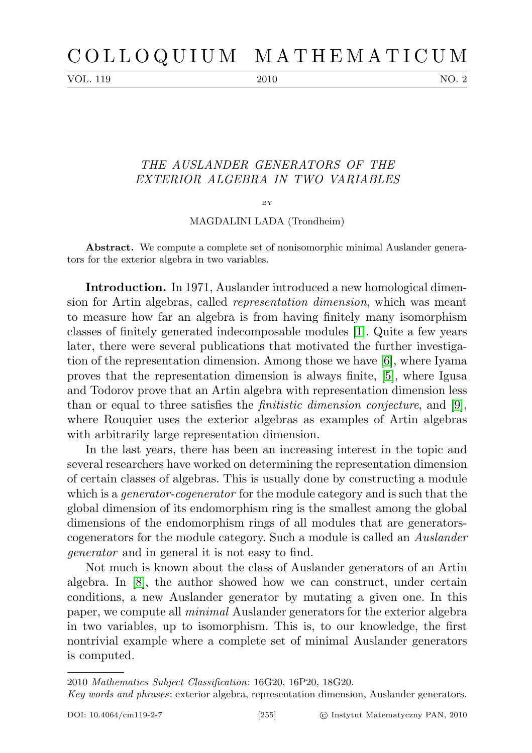VOL. 119 2010 2010 NO. 2

## THE AUSLANDER GENERATORS OF THE EXTERIOR ALGEBRA IN TWO VARIABLES

## **BY**

MAGDALINI LADA (Trondheim)

Abstract. We compute a complete set of nonisomorphic minimal Auslander generators for the exterior algebra in two variables.

Introduction. In 1971, Auslander introduced a new homological dimension for Artin algebras, called representation dimension, which was meant to measure how far an algebra is from having finitely many isomorphism classes of finitely generated indecomposable modules [\[1\]](#page-12-0). Quite a few years later, there were several publications that motivated the further investigation of the representation dimension. Among those we have [\[6\]](#page-12-1), where Iyama proves that the representation dimension is always finite, [\[5\]](#page-12-2), where Igusa and Todorov prove that an Artin algebra with representation dimension less than or equal to three satisfies the *finitistic dimension conjecture*, and  $[9]$ , where Rouquier uses the exterior algebras as examples of Artin algebras with arbitrarily large representation dimension.

In the last years, there has been an increasing interest in the topic and several researchers have worked on determining the representation dimension of certain classes of algebras. This is usually done by constructing a module which is a *generator-cogenerator* for the module category and is such that the global dimension of its endomorphism ring is the smallest among the global dimensions of the endomorphism rings of all modules that are generatorscogenerators for the module category. Such a module is called an Auslander generator and in general it is not easy to find.

Not much is known about the class of Auslander generators of an Artin algebra. In [\[8\]](#page-12-4), the author showed how we can construct, under certain conditions, a new Auslander generator by mutating a given one. In this paper, we compute all minimal Auslander generators for the exterior algebra in two variables, up to isomorphism. This is, to our knowledge, the first nontrivial example where a complete set of minimal Auslander generators is computed.

<sup>2010</sup> Mathematics Subject Classification: 16G20, 16P20, 18G20.

Key words and phrases: exterior algebra, representation dimension, Auslander generators.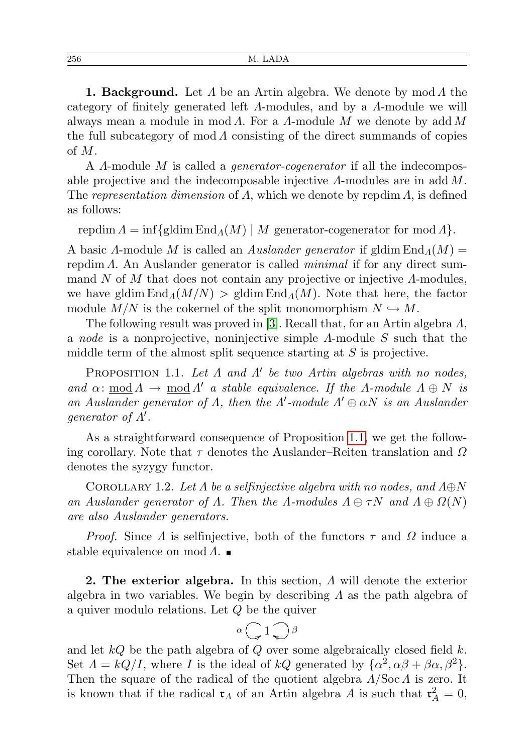**1. Background.** Let  $\Lambda$  be an Artin algebra. We denote by mod  $\Lambda$  the category of finitely generated left Λ-modules, and by a Λ-module we will always mean a module in mod  $\Lambda$ . For a  $\Lambda$ -module M we denote by add M the full subcategory of mod  $\Lambda$  consisting of the direct summands of copies of M.

A *Λ*-module *M* is called a *generator-cogenerator* if all the indecomposable projective and the indecomposable injective  $\Lambda$ -modules are in add  $M$ . The representation dimension of  $\Lambda$ , which we denote by repdim  $\Lambda$ , is defined as follows:

repdim  $\Lambda = \inf \{ \text{gldim End }_{\Lambda}(M) \mid M \text{ generator-cogenerator for mod } \Lambda \}.$ 

A basic  $\Lambda$ -module M is called an Auslander generator if gldim End $\Lambda(M)$  = repdim  $\Lambda$ . An Auslander generator is called *minimal* if for any direct summand N of M that does not contain any projective or injective  $\Lambda$ -modules, we have gldim  $\text{End}_{\Lambda}(M/N) > \text{gldim } \text{End}_{\Lambda}(M)$ . Note that here, the factor module  $M/N$  is the cokernel of the split monomorphism  $N \hookrightarrow M$ .

The following result was proved in [\[3\]](#page-12-5). Recall that, for an Artin algebra Λ, a node is a nonprojective, noninjective simple Λ-module S such that the middle term of the almost split sequence starting at S is projective.

<span id="page-1-0"></span>PROPOSITION 1.1. Let  $\Lambda$  and  $\Lambda'$  be two Artin algebras with no nodes, and  $\alpha: \text{mod } A \rightarrow \text{mod } A'$  a stable equivalence. If the  $\Lambda$ -module  $\Lambda \oplus N$  is an Auslander generator of  $\Lambda$ , then the  $\Lambda'$ -module  $\Lambda' \oplus \alpha N$  is an Auslander generator of Λ'.

As a straightforward consequence of Proposition [1.1,](#page-1-0) we get the following corollary. Note that  $\tau$  denotes the Auslander–Reiten translation and  $\Omega$ denotes the syzygy functor.

<span id="page-1-1"></span>COROLLARY 1.2. Let  $\Lambda$  be a selfinjective algebra with no nodes, and  $\Lambda \oplus N$ an Auslander generator of  $\Lambda$ . Then the  $\Lambda$ -modules  $\Lambda \oplus \tau N$  and  $\Lambda \oplus \Omega(N)$ are also Auslander generators.

*Proof.* Since  $\Lambda$  is selfinjective, both of the functors  $\tau$  and  $\Omega$  induce a stable equivalence on mod  $\Lambda$ .

**2. The exterior algebra.** In this section,  $\Lambda$  will denote the exterior algebra in two variables. We begin by describing  $\Lambda$  as the path algebra of a quiver modulo relations. Let Q be the quiver

$$
\alpha \bigcirc A \bigcirc \beta
$$

and let  $kQ$  be the path algebra of  $Q$  over some algebraically closed field  $k$ . Set  $\Lambda = kQ/I$ , where I is the ideal of  $kQ$  generated by  $\{\alpha^2, \alpha\beta + \beta\alpha, \beta^2\}.$ Then the square of the radical of the quotient algebra  $\Lambda/\mathrm{Soc}\Lambda$  is zero. It is known that if the radical  $\mathfrak{r}_A$  of an Artin algebra A is such that  $\mathfrak{r}_A^2 = 0$ ,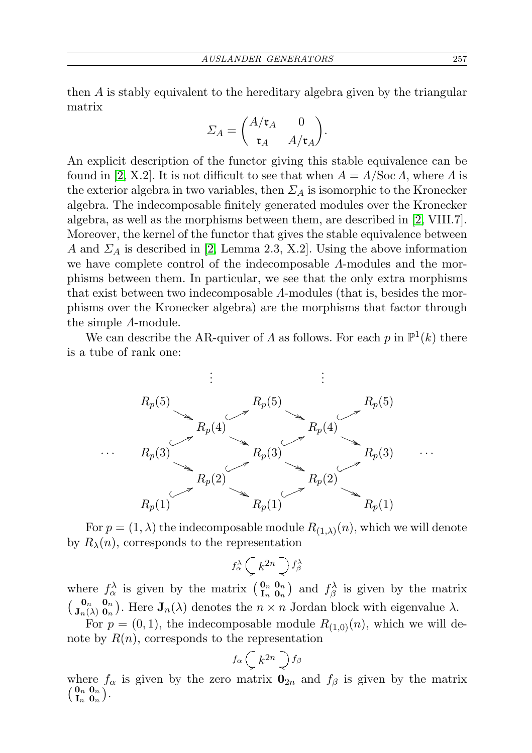then A is stably equivalent to the hereditary algebra given by the triangular matrix

$$
\Sigma_A = \begin{pmatrix} A/\mathfrak{r}_A & 0 \\ \mathfrak{r}_A & A/\mathfrak{r}_A \end{pmatrix}.
$$

An explicit description of the functor giving this stable equivalence can be found in [\[2,](#page-12-6) X.2]. It is not difficult to see that when  $A = \Lambda/\text{Soc }\Lambda$ , where  $\Lambda$  is the exterior algebra in two variables, then  $\Sigma_A$  is isomorphic to the Kronecker algebra. The indecomposable finitely generated modules over the Kronecker algebra, as well as the morphisms between them, are described in [\[2,](#page-12-6) VIII.7]. Moreover, the kernel of the functor that gives the stable equivalence between A and  $\Sigma_A$  is described in [\[2,](#page-12-6) Lemma 2.3, X.2]. Using the above information we have complete control of the indecomposable Λ-modules and the morphisms between them. In particular, we see that the only extra morphisms that exist between two indecomposable  $\Lambda$ -modules (that is, besides the morphisms over the Kronecker algebra) are the morphisms that factor through the simple Λ-module.

We can describe the AR-quiver of  $\Lambda$  as follows. For each  $p$  in  $\mathbb{P}^1(k)$  there is a tube of rank one:



For  $p = (1, \lambda)$  the indecomposable module  $R_{(1,\lambda)}(n)$ , which we will denote by  $R_{\lambda}(n)$ , corresponds to the representation

$$
f_\alpha^\lambda \left(\!\!{\,}^{\mathop{}\limits_{}}_{\mathop{}\limits^{}}\right.\hspace{-1.5pt} k^{2n} \left.\!\!{\,}^{\mathop{}\limits_{}}_{\mathop{}\limits^{}}\right) f_\beta^\lambda
$$

 $\sim$   $\sim$ where  $f_{\alpha}^{\lambda}$  is given by the matrix  $\begin{pmatrix} \mathbf{0}_n & \mathbf{0}_n \\ \mathbf{I}_n & \mathbf{0}_n \end{pmatrix}$  $\begin{pmatrix} \mathbf{0}_n & \mathbf{0}_n \\ \mathbf{I}_n & \mathbf{0}_n \end{pmatrix}$  and  $f_\beta^\lambda$  is given by the matrix  $\left(\begin{smallmatrix} \mathbf{0}_n & \mathbf{0}_n \\ \mathbf{J}_n(\lambda) & \mathbf{0}_n \end{smallmatrix}\right)$ . Here  $\mathbf{J}_n(\lambda)$  denotes the  $n \times n$  Jordan block with eigenvalue  $\lambda$ .

For  $p = (0, 1)$ , the indecomposable module  $R_{(1,0)}(n)$ , which we will denote by  $R(n)$ , corresponds to the representation

$$
f_\alpha \bigsubsetneq k^{2n} \bigcirc f_\beta
$$

where  $f_{\alpha}$  is given by the zero matrix  $\overrightarrow{0}_{2n}$  and  $f_{\beta}$  is given by the matrix  $\begin{pmatrix} 0_n & 0_n \\ 1 & 0 \end{pmatrix}$  $\begin{array}{cc} \mathbf{0}_n \ \mathbf{0}_n \ \mathbf{I}_n \ \mathbf{0}_n \end{array} \big).$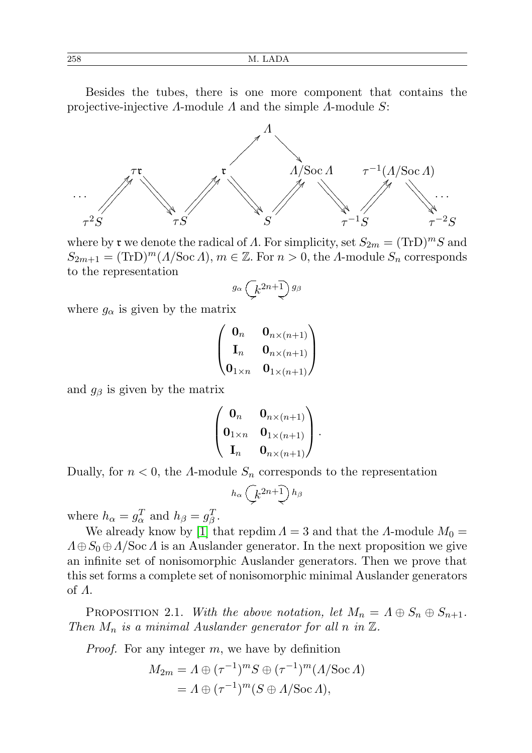Besides the tubes, there is one more component that contains the projective-injective  $\Lambda$ -module  $\Lambda$  and the simple  $\Lambda$ -module  $S$ :



where by **r** we denote the radical of A. For simplicity, set  $S_{2m} = (\text{Tr}D)^m S$  and  $S_{2m+1} = (\text{Tr}D)^m (A/\text{Soc}\,A), m \in \mathbb{Z}$ . For  $n > 0$ , the A-module  $S_n$  corresponds to the representation

$$
g_{\alpha}\left(\mathbf{L}^{2n+1}\right)g_{\beta}
$$

where  $g_{\alpha}$  is given by the matrix

$$
\begin{pmatrix} \mathbf{0}_n & \mathbf{0}_{n \times (n+1)} \\ \mathbf{I}_n & \mathbf{0}_{n \times (n+1)} \\ \mathbf{0}_{1 \times n} & \mathbf{0}_{1 \times (n+1)} \end{pmatrix}
$$

and  $g_\beta$  is given by the matrix

$$
\begin{pmatrix} \mathbf{0}_n & \mathbf{0}_{n \times (n+1)} \\ \mathbf{0}_{1 \times n} & \mathbf{0}_{1 \times (n+1)} \\ \mathbf{I}_n & \mathbf{0}_{n \times (n+1)} \end{pmatrix}.
$$

Dually, for  $n < 0$ , the A-module  $S_n$  corresponds to the representation

$$
h_{\alpha}\left(\mathcal{L}^{2n+1}\right)h_{\beta}
$$

where  $h_{\alpha} = g_{\alpha}^T$  and  $h_{\beta} = g_{\beta}^T$ .

We already know by [\[1\]](#page-12-0) that repdim  $\Lambda = 3$  and that the  $\Lambda$ -module  $M_0 =$  $\Lambda \oplus S_0 \oplus \Lambda /$ Soc $\Lambda$  is an Auslander generator. In the next proposition we give an infinite set of nonisomorphic Auslander generators. Then we prove that this set forms a complete set of nonisomorphic minimal Auslander generators of Λ.

PROPOSITION 2.1. With the above notation, let  $M_n = \Lambda \oplus S_n \oplus S_{n+1}$ . Then  $M_n$  is a minimal Auslander generator for all n in  $\mathbb{Z}$ .

Proof. For any integer m, we have by definition

$$
M_{2m} = \Lambda \oplus (\tau^{-1})^m S \oplus (\tau^{-1})^m (\Lambda / \operatorname{Soc} \Lambda)
$$
  
=  $\Lambda \oplus (\tau^{-1})^m (S \oplus \Lambda / \operatorname{Soc} \Lambda),$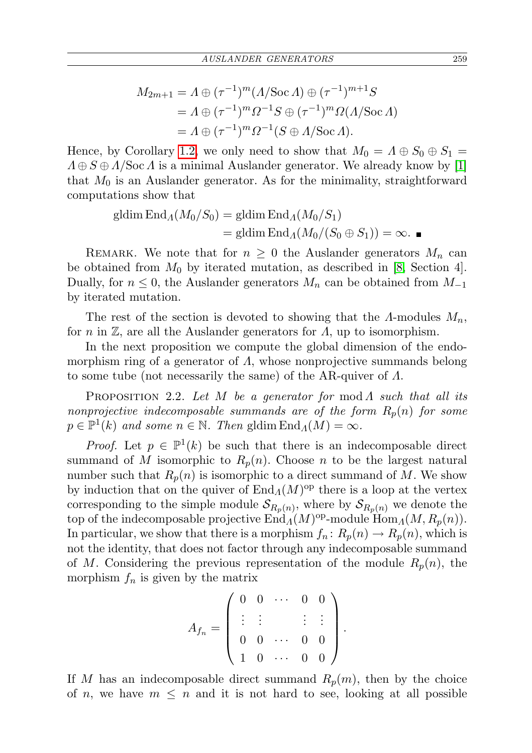$$
M_{2m+1} = \Lambda \oplus (\tau^{-1})^m (\Lambda / \operatorname{Soc} \Lambda) \oplus (\tau^{-1})^{m+1} S
$$
  
=  $\Lambda \oplus (\tau^{-1})^m \Omega^{-1} S \oplus (\tau^{-1})^m \Omega (\Lambda / \operatorname{Soc} \Lambda)$   
=  $\Lambda \oplus (\tau^{-1})^m \Omega^{-1} (S \oplus \Lambda / \operatorname{Soc} \Lambda).$ 

Hence, by Corollary [1.2,](#page-1-1) we only need to show that  $M_0 = \Lambda \oplus S_0 \oplus S_1 =$  $\Lambda \oplus S \oplus \Lambda / \mathbf{S}$  is a minimal Auslander generator. We already know by [\[1\]](#page-12-0) that  $M_0$  is an Auslander generator. As for the minimality, straightforward computations show that

$$
\text{gldim End}_{\Lambda}(M_0/S_0) = \text{gldim End}_{\Lambda}(M_0/S_1)
$$
  
= 
$$
\text{gldim End}_{\Lambda}(M_0/(S_0 \oplus S_1)) = \infty.
$$

REMARK. We note that for  $n \geq 0$  the Auslander generators  $M_n$  can be obtained from  $M_0$  by iterated mutation, as described in [\[8,](#page-12-4) Section 4]. Dually, for  $n \leq 0$ , the Auslander generators  $M_n$  can be obtained from  $M_{-1}$ by iterated mutation.

The rest of the section is devoted to showing that the  $\Lambda$ -modules  $M_n$ , for *n* in  $\mathbb{Z}$ , are all the Auslander generators for  $\Lambda$ , up to isomorphism.

In the next proposition we compute the global dimension of the endomorphism ring of a generator of  $\Lambda$ , whose nonprojective summands belong to some tube (not necessarily the same) of the AR-quiver of Λ.

<span id="page-4-0"></span>PROPOSITION 2.2. Let M be a generator for mod A such that all its nonprojective indecomposable summands are of the form  $R_p(n)$  for some  $p \in \mathbb{P}^1(k)$  and some  $n \in \mathbb{N}$ . Then gldim  $\text{End}_A(M) = \infty$ .

*Proof.* Let  $p \in \mathbb{P}^1(k)$  be such that there is an indecomposable direct summand of M isomorphic to  $R_p(n)$ . Choose n to be the largest natural number such that  $R_p(n)$  is isomorphic to a direct summand of M. We show by induction that on the quiver of  $\text{End}_{\Lambda}(M)^{\text{op}}$  there is a loop at the vertex corresponding to the simple module  $\mathcal{S}_{R_p(n)}$ , where by  $\mathcal{S}_{R_p(n)}$  we denote the top of the indecomposable projective  $\text{End}_{\Lambda}(M)^\text{op}\text{-module } \text{Hom}_{\Lambda}(M,R_p(n)).$ In particular, we show that there is a morphism  $f_n: R_p(n) \to R_p(n)$ , which is not the identity, that does not factor through any indecomposable summand of M. Considering the previous representation of the module  $R_p(n)$ , the morphism  $f_n$  is given by the matrix

$$
A_{f_n} = \left( \begin{array}{cccc} 0 & 0 & \cdots & 0 & 0 \\ \vdots & \vdots & & \vdots & \vdots \\ 0 & 0 & \cdots & 0 & 0 \\ 1 & 0 & \cdots & 0 & 0 \end{array} \right)
$$

.

If M has an indecomposable direct summand  $R_p(m)$ , then by the choice of n, we have  $m \leq n$  and it is not hard to see, looking at all possible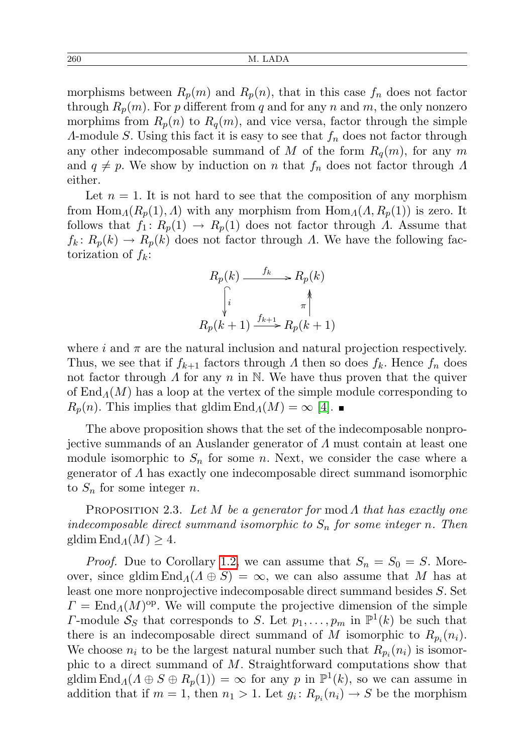morphisms between  $R_p(m)$  and  $R_p(n)$ , that in this case  $f_n$  does not factor through  $R_p(m)$ . For p different from q and for any n and m, the only nonzero morphims from  $R_p(n)$  to  $R_q(m)$ , and vice versa, factor through the simple A-module S. Using this fact it is easy to see that  $f_n$  does not factor through any other indecomposable summand of M of the form  $R_q(m)$ , for any m and  $q \neq p$ . We show by induction on n that  $f_n$  does not factor through  $\Lambda$ either.

Let  $n = 1$ . It is not hard to see that the composition of any morphism from  $\text{Hom}_{A}(R_n(1), A)$  with any morphism from  $\text{Hom}_{A}(A, R_n(1))$  is zero. It follows that  $f_1: R_p(1) \to R_p(1)$  does not factor through  $\Lambda$ . Assume that  $f_k: R_p(k) \to R_p(k)$  does not factor through A. We have the following factorization of  $f_k$ :

$$
R_p(k) \xrightarrow{f_k} R_p(k)
$$
  
\n
$$
\downarrow \qquad \qquad \downarrow
$$
  
\n
$$
R_p(k+1) \xrightarrow{f_{k+1}} R_p(k+1)
$$

where i and  $\pi$  are the natural inclusion and natural projection respectively. Thus, we see that if  $f_{k+1}$  factors through  $\Lambda$  then so does  $f_k$ . Hence  $f_n$  does not factor through  $\Lambda$  for any  $n$  in  $\mathbb N$ . We have thus proven that the quiver of  $\text{End}_{\Lambda}(M)$  has a loop at the vertex of the simple module corresponding to  $R_p(n)$ . This implies that gldim  $\text{End}_A(M) = \infty$  [\[4\]](#page-12-7).

The above proposition shows that the set of the indecomposable nonprojective summands of an Auslander generator of Λ must contain at least one module isomorphic to  $S_n$  for some n. Next, we consider the case where a generator of Λ has exactly one indecomposable direct summand isomorphic to  $S_n$  for some integer n.

<span id="page-5-0"></span>PROPOSITION 2.3. Let M be a generator for mod  $\Lambda$  that has exactly one indecomposable direct summand isomorphic to  $S_n$  for some integer n. Then gldim  $\text{End}_{A}(M) \geq 4$ .

*Proof.* Due to Corollary [1.2,](#page-1-1) we can assume that  $S_n = S_0 = S$ . Moreover, since gldim  $\text{End}_{\Lambda}(A \oplus S) = \infty$ , we can also assume that M has at least one more nonprojective indecomposable direct summand besides S. Set  $\Gamma = \text{End}_{\Lambda}(M)^\text{op}$ . We will compute the projective dimension of the simple *Γ*-module  $S_S$  that corresponds to *S*. Let  $p_1, \ldots, p_m$  in  $\mathbb{P}^1(k)$  be such that there is an indecomposable direct summand of M isomorphic to  $R_{p_i}(n_i)$ . We choose  $n_i$  to be the largest natural number such that  $R_{p_i}(n_i)$  is isomorphic to a direct summand of  $M$ . Straightforward computations show that gldim  $\text{End}_{\Lambda}(A \oplus S \oplus R_{p}(1)) = \infty$  for any p in  $\mathbb{P}^{1}(k)$ , so we can assume in addition that if  $m = 1$ , then  $n_1 > 1$ . Let  $g_i: R_{p_i}(n_i) \to S$  be the morphism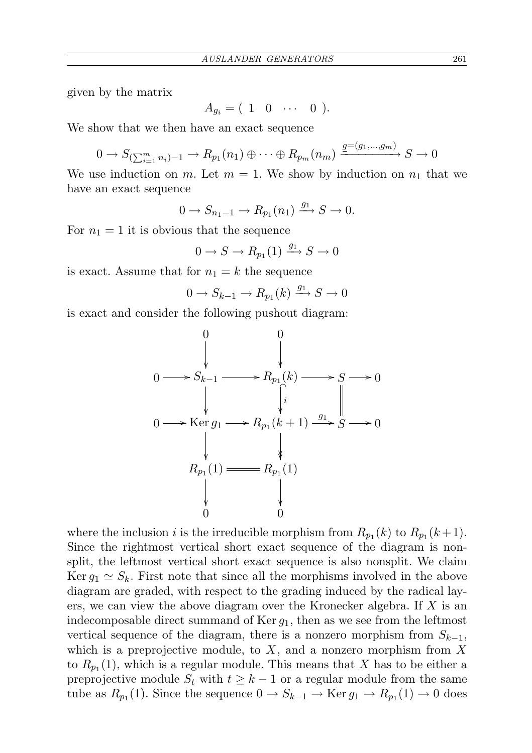given by the matrix

 $A_{a_i} = (1 \ 0 \ \cdots \ 0).$ 

We show that we then have an exact sequence

$$
0 \to S_{\left(\sum_{i=1}^{m} n_i\right)-1} \to R_{p_1}(n_1) \oplus \cdots \oplus R_{p_m}(n_m) \xrightarrow{\underline{g}=(g_1,\ldots,g_m)} S \to 0
$$

We use induction on m. Let  $m = 1$ . We show by induction on  $n_1$  that we have an exact sequence

$$
0 \to S_{n_1-1} \to R_{p_1}(n_1) \xrightarrow{g_1} S \to 0.
$$

For  $n_1 = 1$  it is obvious that the sequence

$$
0 \to S \to R_{p_1}(1) \xrightarrow{g_1} S \to 0
$$

is exact. Assume that for  $n_1 = k$  the sequence

$$
0 \to S_{k-1} \to R_{p_1}(k) \xrightarrow{g_1} S \to 0
$$

is exact and consider the following pushout diagram:

$$
\begin{array}{ccc}\n & 0 & 0 \\
 & \downarrow & \downarrow \\
0 \longrightarrow S_{k-1} \longrightarrow R_{p_1}(k) \longrightarrow S \longrightarrow 0 \\
 & \downarrow & \downarrow \\
0 \longrightarrow \text{Ker } g_1 \longrightarrow R_{p_1}(k+1) \longrightarrow S \longrightarrow 0 \\
 & \downarrow & \downarrow \\
R_{p_1}(1) \longrightarrow R_{p_1}(1) \\
 & \downarrow & \downarrow \\
0 & 0\n\end{array}
$$

where the inclusion *i* is the irreducible morphism from  $R_{p_1}(k)$  to  $R_{p_1}(k+1)$ . Since the rightmost vertical short exact sequence of the diagram is nonsplit, the leftmost vertical short exact sequence is also nonsplit. We claim Ker  $g_1 \simeq S_k$ . First note that since all the morphisms involved in the above diagram are graded, with respect to the grading induced by the radical layers, we can view the above diagram over the Kronecker algebra. If X is an indecomposable direct summand of  $Ker g_1$ , then as we see from the leftmost vertical sequence of the diagram, there is a nonzero morphism from  $S_{k-1}$ , which is a preprojective module, to  $X$ , and a nonzero morphism from  $X$ to  $R_{p_1}(1)$ , which is a regular module. This means that X has to be either a preprojective module  $S_t$  with  $t \geq k-1$  or a regular module from the same tube as  $R_{p_1}(1)$ . Since the sequence  $0 \to S_{k-1} \to \text{Ker } g_1 \to R_{p_1}(1) \to 0$  does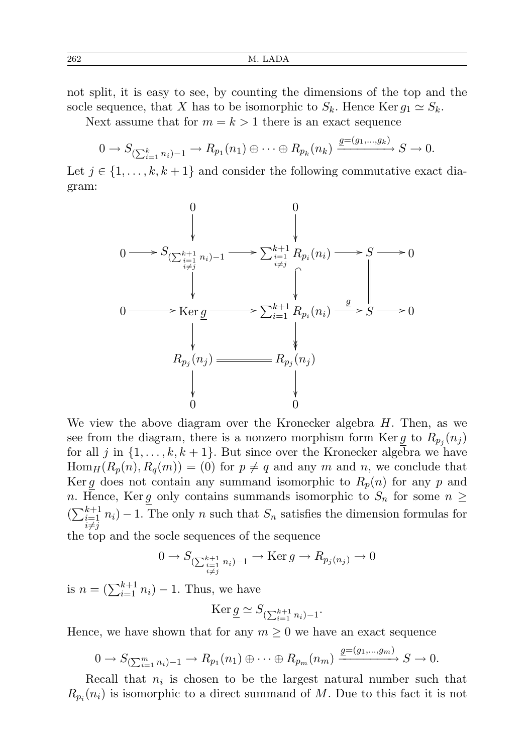not split, it is easy to see, by counting the dimensions of the top and the socle sequence, that X has to be isomorphic to  $S_k$ . Hence Ker  $g_1 \simeq S_k$ .

Next assume that for  $m = k > 1$  there is an exact sequence

 $0 \to S_{(\sum_{i=1}^k n_i)-1} \to R_{p_1}(n_1) \oplus \cdots \oplus R_{p_k}(n_k) \xrightarrow{\underline{g}=(g_1,...,g_k)} S \to 0.$ 

Let  $j \in \{1, \ldots, k, k+1\}$  and consider the following commutative exact diagram:



We view the above diagram over the Kronecker algebra  $H$ . Then, as we see from the diagram, there is a nonzero morphism form  $\text{Ker } g$  to  $R_{p_j}(n_j)$ for all j in  $\{1, \ldots, k, k+1\}$ . But since over the Kronecker algebra we have  $\text{Hom}_{H}(R_{p}(n), R_{q}(m)) = (0)$  for  $p \neq q$  and any m and n, we conclude that Ker g does not contain any summand isomorphic to  $R_p(n)$  for any p and n. Hence, Ker g only contains summands isomorphic to  $S_n$  for some  $n \geq$  $(\sum_{i=1}^{k+1} n_i) - 1$ . The only n such that  $S_n$  satisfies the dimension formulas for  $i \neq j$ <br>the top and the socle sequences of the sequence

$$
0 \to S_{\left(\sum_{\substack{i=1 \ i \neq j}}^{k+1} n_i\right) - 1} \to \text{Ker}\,\underline{g} \to R_{p_j(n_j)} \to 0
$$

is  $n = (\sum_{i=1}^{k+1} n_i) - 1$ . Thus, we have

$$
\operatorname{Ker} \underline{g} \simeq S_{(\sum_{i=1}^{k+1} n_i) - 1}.
$$

Hence, we have shown that for any  $m \geq 0$  we have an exact sequence

$$
0 \to S_{\left(\sum_{i=1}^m n_i\right)-1} \to R_{p_1}(n_1) \oplus \cdots \oplus R_{p_m}(n_m) \xrightarrow{\underline{g}=(g_1,\ldots,g_m)} S \to 0.
$$

Recall that  $n_i$  is chosen to be the largest natural number such that  $R_{p_i}(n_i)$  is isomorphic to a direct summand of M. Due to this fact it is not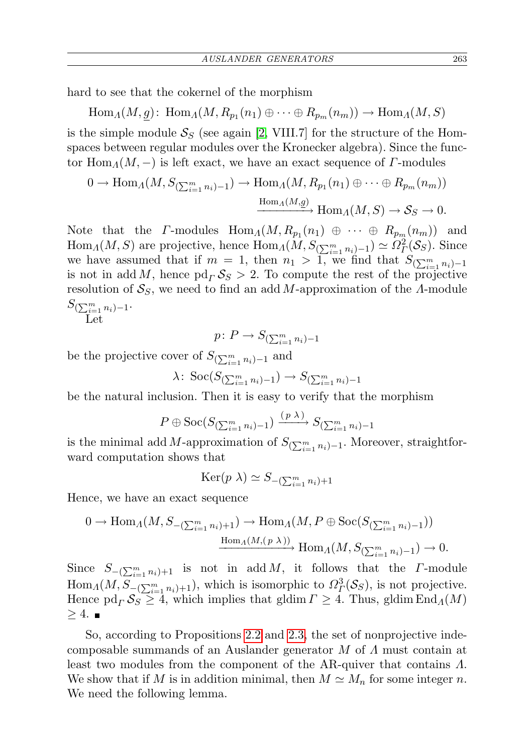hard to see that the cokernel of the morphism

 $\text{Hom}_{\Lambda}(M, \underline{g})$ :  $\text{Hom}_{\Lambda}(M, R_{p_1}(n_1) \oplus \cdots \oplus R_{p_m}(n_m)) \to \text{Hom}_{\Lambda}(M, S)$ 

is the simple module  $S_S$  (see again [\[2,](#page-12-6) VIII.7] for the structure of the Homspaces between regular modules over the Kronecker algebra). Since the functor Hom<sub> $\Lambda$ </sub> $(M, -)$  is left exact, we have an exact sequence of  $\Gamma$ -modules

$$
0 \to \text{Hom}_{\Lambda}(M, S_{(\sum_{i=1}^{m} n_i)-1}) \to \text{Hom}_{\Lambda}(M, R_{p_1}(n_1) \oplus \cdots \oplus R_{p_m}(n_m))
$$

$$
\xrightarrow{\text{Hom}_{\Lambda}(M,g)} \text{Hom}_{\Lambda}(M, S) \to S_S \to 0.
$$

Note that the *Γ*-modules  $Hom_A(M, R_{p_1}(n_1) \oplus \cdots \oplus R_{p_m}(n_m))$  and  $\text{Hom}_{\Lambda}(M, S)$  are projective, hence  $\text{Hom}_{\Lambda}(M, S_{(\sum_{i=1}^{m} n_i)-1}) \simeq \Omega^2_{\Gamma}(S_S)$ . Since we have assumed that if  $m = 1$ , then  $n_1 > 1$ , we find that  $S_{(\sum_{i=1}^m n_i)-1}$ is not in add M, hence  $\text{pd}_\Gamma \mathcal{S}_S > 2$ . To compute the rest of the projective resolution of  $S_S$ , we need to find an add M-approximation of the A-module  $S_{(\sum_{i=1}^{m}n_i)-1}.$ 

Let

$$
p\colon P\to S_{(\sum_{i=1}^m n_i)-1}
$$

be the projective cover of  $S_{(\sum_{i=1}^m n_i)-1}$  and

$$
\lambda \colon \operatorname{Soc}(S_{(\sum_{i=1}^{m} n_i)-1}) \to S_{(\sum_{i=1}^{m} n_i)-1}
$$

be the natural inclusion. Then it is easy to verify that the morphism

$$
P \oplus \text{Soc}(S_{(\sum_{i=1}^{m} n_i)-1}) \xrightarrow{(p \lambda)} S_{(\sum_{i=1}^{m} n_i)-1}
$$

is the minimal add M-approximation of  $S_{(\sum_{i=1}^{m} n_i)-1}$ . Moreover, straightforward computation shows that

$$
Ker(p \lambda) \simeq S_{-(\sum_{i=1}^{m} n_i)+1}
$$

Hence, we have an exact sequence

$$
0 \to \text{Hom}_{\Lambda}(M, S_{-(\sum_{i=1}^{m} n_i)+1}) \to \text{Hom}_{\Lambda}(M, P \oplus \text{Soc}(S_{(\sum_{i=1}^{m} n_i)-1}))
$$

$$
\xrightarrow{\text{Hom}_{\Lambda}(M, (p \lambda))} \text{Hom}_{\Lambda}(M, S_{(\sum_{i=1}^{m} n_i)-1}) \to 0.
$$

Since  $S_{-(\sum_{i=1}^m n_i)+1}$  is not in add M, it follows that the  $\Gamma$ -module  $\text{Hom}_{\Lambda}(M, S_{-(\sum_{i=1}^m n_i)+1}),$  which is isomorphic to  $\Omega^3_{\Gamma}(\mathcal{S}_S)$ , is not projective. Hence pd<sub>Γ</sub>  $S_S \geq 4$ , which implies that gldim  $\Gamma \geq 4$ . Thus, gldim End<sub>Λ</sub>(M)  $>4.$  ■

<span id="page-8-0"></span>So, according to Propositions [2.2](#page-4-0) and [2.3,](#page-5-0) the set of nonprojective indecomposable summands of an Auslander generator  $M$  of  $\Lambda$  must contain at least two modules from the component of the AR-quiver that contains Λ. We show that if M is in addition minimal, then  $M \simeq M_n$  for some integer n. We need the following lemma.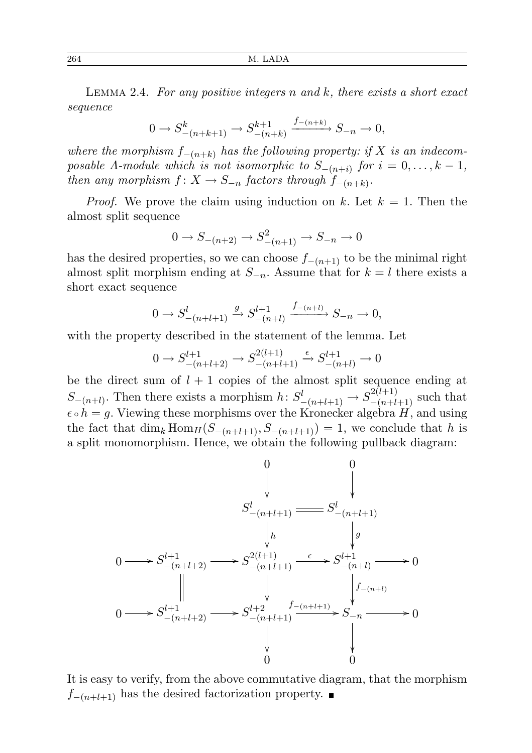## 264 M. LADA

LEMMA 2.4. For any positive integers n and  $k$ , there exists a short exact sequence

$$
0 \to S_{-(n+k+1)}^k \to S_{-(n+k)}^{k+1} \xrightarrow{f_{-(n+k)}} S_{-n} \to 0,
$$

where the morphism  $f_{-(n+k)}$  has the following property: if X is an indecomposable  $\Lambda$ -module which is not isomorphic to  $S_{-(n+i)}$  for  $i = 0, \ldots, k-1$ , then any morphism  $f: X \to S_{-n}$  factors through  $f_{-(n+k)}$ .

*Proof.* We prove the claim using induction on k. Let  $k = 1$ . Then the almost split sequence

$$
0 \to S_{-(n+2)} \to S_{-(n+1)}^2 \to S_{-n} \to 0
$$

has the desired properties, so we can choose  $f_{-(n+1)}$  to be the minimal right almost split morphism ending at  $S_{-n}$ . Assume that for  $k = l$  there exists a short exact sequence

$$
0 \to S_{-(n+l+1)}^l \xrightarrow{g} S_{-(n+l)}^{l+1} \xrightarrow{f_{-(n+l)}} S_{-n} \to 0,
$$

with the property described in the statement of the lemma. Let

$$
0 \to S_{-(n+l+2)}^{l+1} \to S_{-(n+l+1)}^{2(l+1)} \xrightarrow{\epsilon} S_{-(n+l)}^{l+1} \to 0
$$

be the direct sum of  $l + 1$  copies of the almost split sequence ending at  $S_{-(n+l)}$ . Then there exists a morphism  $h: S^l_{-(n+l+1)} \to S^{2(l+1)}_{-(n+l+1)}$  such that  $\epsilon \circ h = g$ . Viewing these morphisms over the Kronecker algebra H, and using the fact that dim<sub>k</sub> Hom<sub>H</sub>(S<sub>−(n+l+1)</sub>, S<sub>−(n+l+1)</sub>) = 1, we conclude that h is a split monomorphism. Hence, we obtain the following pullback diagram:



It is easy to verify, from the above commutative diagram, that the morphism  $f_{-(n+l+1)}$  has the desired factorization property.  $\blacksquare$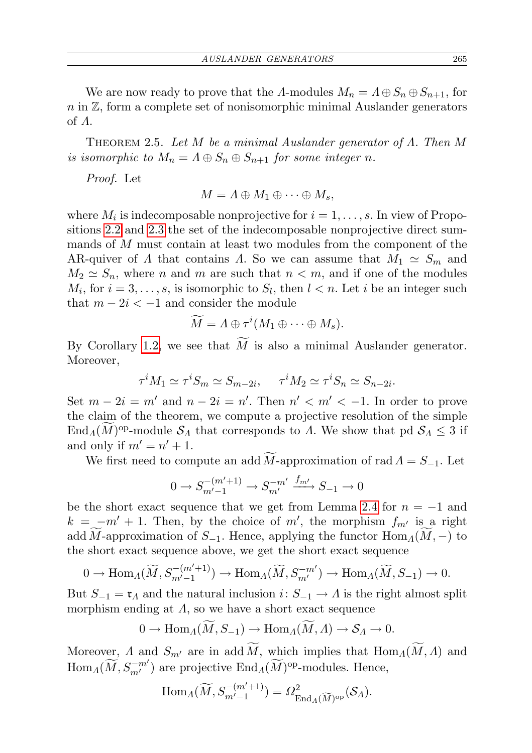We are now ready to prove that the A-modules  $M_n = A \oplus S_n \oplus S_{n+1}$ , for  $n \in \mathbb{Z}$ , form a complete set of nonisomorphic minimal Auslander generators of Λ.

THEOREM 2.5. Let M be a minimal Auslander generator of  $\Lambda$ . Then M is isomorphic to  $M_n = \Lambda \oplus S_n \oplus S_{n+1}$  for some integer n.

Proof. Let

$$
M = \Lambda \oplus M_1 \oplus \cdots \oplus M_s,
$$

where  $M_i$  is indecomposable nonprojective for  $i = 1, \ldots, s$ . In view of Propositions [2.2](#page-4-0) and [2.3](#page-5-0) the set of the indecomposable nonprojective direct summands of M must contain at least two modules from the component of the AR-quiver of  $\Lambda$  that contains  $\Lambda$ . So we can assume that  $M_1 \simeq S_m$  and  $M_2 \simeq S_n$ , where n and m are such that  $n < m$ , and if one of the modules  $M_i$ , for  $i = 3, \ldots, s$ , is isomorphic to  $S_l$ , then  $l < n$ . Let i be an integer such that  $m - 2i < -1$  and consider the module

$$
\widetilde{M} = \Lambda \oplus \tau^i(M_1 \oplus \cdots \oplus M_s).
$$

By Corollary [1.2,](#page-1-1) we see that  $\widetilde{M}$  is also a minimal Auslander generator. Moreover,

$$
\tau^i M_1 \simeq \tau^i S_m \simeq S_{m-2i}, \quad \tau^i M_2 \simeq \tau^i S_n \simeq S_{n-2i}.
$$

Set  $m - 2i = m'$  and  $n - 2i = n'$ . Then  $n' < m' < -1$ . In order to prove the claim of the theorem, we compute a projective resolution of the simple End<sub>Λ</sub>(M)<sup>op</sup>-module  $S_A$  that corresponds to Λ. We show that pd  $S_A \leq 3$  if and only if  $m' = n' + 1$ .

We first need to compute an add  $\widetilde{M}$ -approximation of rad  $\Lambda = S_{-1}$ . Let

$$
0 \to S_{m'-1}^{-(m'+1)} \to S_{m'}^{-m'} \xrightarrow{f_{m'}} S_{-1} \to 0
$$

be the short exact sequence that we get from Lemma [2.4](#page-8-0) for  $n = -1$  and  $k = -m' + 1$ . Then, by the choice of m', the morphism  $f_{m'}$  is a right add M-approximation of  $S_{-1}$ . Hence, applying the functor  $\text{Hom}_{\Lambda}(\widetilde{M},-)$  to the short exact sequence above, we get the short exact sequence

$$
0\to\operatorname{Hom}\nolimits_{\Lambda}(\widetilde{M}, S_{m^{\prime}-1}^{-(m^{\prime}+1)})\to \operatorname{Hom}\nolimits_{\Lambda}(\widetilde{M}, S_{m^{\prime}}^{-m^{\prime}})\to \operatorname{Hom}\nolimits_{\Lambda}(\widetilde{M}, S_{-1})\to 0.
$$

But  $S_{-1} = \mathfrak{r}_A$  and the natural inclusion  $i: S_{-1} \to A$  is the right almost split morphism ending at  $\Lambda$ , so we have a short exact sequence

$$
0 \to \text{Hom}_A(\widetilde{M}, S_{-1}) \to \text{Hom}_A(\widetilde{M}, A) \to S_A \to 0.
$$

Moreover,  $\Lambda$  and  $S_{m'}$  are in add  $\widetilde{M}$ , which implies that  $\text{Hom}_{\Lambda}(\widetilde{M}, \Lambda)$  and  $\text{Hom}_{\Lambda}(\widetilde{M},S_{m'}^{-m'})$  are projective  $\text{End}_{\Lambda}(\widetilde{M})^{\text{op}}$ -modules. Hence,

$$
\operatorname{Hom}_\Lambda(\widetilde{M}, S_{m'-1}^{-(m'+1)}) = \Omega^2_{\operatorname{End}_\Lambda(\widetilde{M})^{\rm op}}(\mathcal{S}_\Lambda).
$$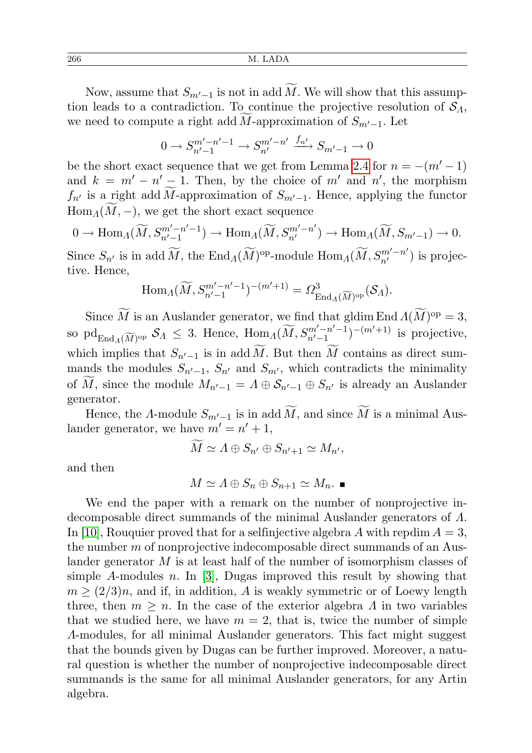Now, assume that  $S_{m'-1}$  is not in add M. We will show that this assumption leads to a contradiction. To continue the projective resolution of  $S_A$ , we need to compute a right add M-approximation of  $S_{m'-1}$ . Let

$$
0 \to S_{n'-1}^{m'-n'-1} \to S_{n'}^{m'-n'} \xrightarrow{f_{n'}} S_{m'-1} \to 0
$$

be the short exact sequence that we get from Lemma [2.4](#page-8-0) for  $n = -(m' - 1)$ and  $k = m' - n' - 1$ . Then, by the choice of m' and n', the morphism  $f_{n'}$  is a right add M-approximation of  $S_{m'-1}$ . Hence, applying the functor  $\text{Hom}_{\Lambda}(M, -)$ , we get the short exact sequence

$$
0 \to \text{Hom}_{\Lambda}(\widetilde{M}, S^{m'-n'-1}_{n'-1}) \to \text{Hom}_{\Lambda}(\widetilde{M}, S^{m'-n'}_{n'}) \to \text{Hom}_{\Lambda}(\widetilde{M}, S_{m'-1}) \to 0.
$$

Since  $S_{n'}$  is in add  $\widetilde{M}$ , the  $\text{End}_{\Lambda}(\widetilde{M})^{\text{op}}$ -module  $\text{Hom}_{\Lambda}(\widetilde{M}, S_{n'}^{m'-n'})$  is projective. Hence,

$$
\operatorname{Hom}_{\Lambda}(\widetilde{M}, S^{m'-n'-1}_{n'-1})^{-(m'+1)} = \Omega^3_{\operatorname{End}_{\Lambda}(\widetilde{M})^{\operatorname{op}}}(\mathcal{S}_{\Lambda}).
$$

Since M is an Auslander generator, we find that gldim End  $\Lambda(M)^{op} = 3$ , so pd<sub>End<sub>A</sub>( $\widetilde{M}$ )<sup>op</sup>  $S_A \leq 3$ . Hence, Hom<sub>A</sub>( $\widetilde{M}$ ,  $S_{n'-1}^{m'-n'-1}$ </sub>  $\binom{m'-n'-1}{n'-1}$ <sup>-(m'+1)</sup> is projective, which implies that  $S_{n'-1}$  is in add  $\widetilde{M}$ . But then  $\widetilde{M}$  contains as direct summands the modules  $S_{n'-1}$ ,  $S_{n'}$  and  $S_{m'}$ , which contradicts the minimality of M, since the module  $M_{n'-1} = \Lambda \oplus \mathcal{S}_{n'-1} \oplus S_{n'}$  is already an Auslander generator.

Hence, the A-module  $S_{m'-1}$  is in add  $\widetilde{M}$ , and since  $\widetilde{M}$  is a minimal Auslander generator, we have  $m' = n' + 1$ ,

$$
M \simeq \Lambda \oplus S_{n'} \oplus S_{n'+1} \simeq M_{n'},
$$

and then

$$
M \simeq \Lambda \oplus S_n \oplus S_{n+1} \simeq M_n. \blacksquare
$$

We end the paper with a remark on the number of nonprojective indecomposable direct summands of the minimal Auslander generators of Λ. In [\[10\]](#page-12-8), Rouquier proved that for a selfinjective algebra A with repdim  $A = 3$ , the number  $m$  of nonprojective indecomposable direct summands of an Auslander generator M is at least half of the number of isomorphism classes of simple A-modules n. In [\[3\]](#page-12-5), Dugas improved this result by showing that  $m \geq (2/3)n$ , and if, in addition, A is weakly symmetric or of Loewy length three, then  $m \geq n$ . In the case of the exterior algebra  $\Lambda$  in two variables that we studied here, we have  $m = 2$ , that is, twice the number of simple Λ-modules, for all minimal Auslander generators. This fact might suggest that the bounds given by Dugas can be further improved. Moreover, a natural question is whether the number of nonprojective indecomposable direct summands is the same for all minimal Auslander generators, for any Artin algebra.